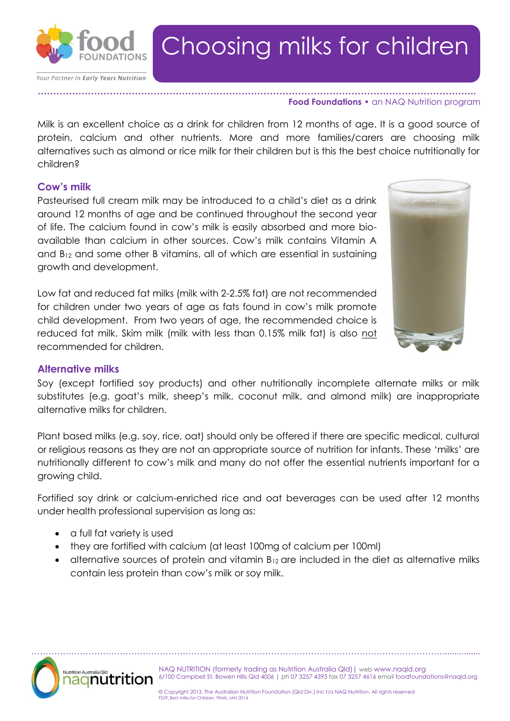

Your Partner in Early Years Nutrition

# Choosing milks for children

#### **………………………………………………………………………………………………………………………….. Food Foundations •** an NAQ Nutrition program

Milk is an excellent choice as a drink for children from 12 months of age. It is a good source of protein, calcium and other nutrients. More and more families/carers are choosing milk alternatives such as almond or rice milk for their children but is this the best choice nutritionally for children?

### **Cow's milk**

Pasteurised full cream milk may be introduced to a child's diet as a drink around 12 months of age and be continued throughout the second year of life. The calcium found in cow's milk is easily absorbed and more bioavailable than calcium in other sources. Cow's milk contains Vitamin A and  $B_{12}$  and some other B vitamins, all of which are essential in sustaining growth and development.

Low fat and reduced fat milks (milk with 2-2.5% fat) are not recommended for children under two years of age as fats found in cow's milk promote child development. From two years of age, the recommended choice is reduced fat milk. Skim milk (milk with less than 0.15% milk fat) is also not recommended for children.



### **Alternative milks**

Soy (except fortified soy products) and other nutritionally incomplete alternate milks or milk substitutes (e.g. goat's milk, sheep's milk, coconut milk, and almond milk) are inappropriate alternative milks for children.

Plant based milks (e.g. soy, rice, oat) should only be offered if there are specific medical, cultural or religious reasons as they are not an appropriate source of nutrition for infants. These 'milks' are nutritionally different to cow's milk and many do not offer the essential nutrients important for a growing child.

Fortified soy drink or calcium-enriched rice and oat beverages can be used after 12 months under health professional supervision as long as:

- a full fat variety is used
- they are fortified with calcium (at least 100mg of calcium per 100ml)
- $\bullet$  alternative sources of protein and vitamin  $B_{12}$  are included in the diet as alternative milks contain less protein than cow's milk or soy milk.



NAQ NUTRITION (formerly trading as Nutrition Australia Qld)| web www.naqld.org 6/100 Campbell St, Bowen Hills Qld 4006 | ph 07 3257 4393 fax 07 3257 4616 email foodfoundations@naqld.org